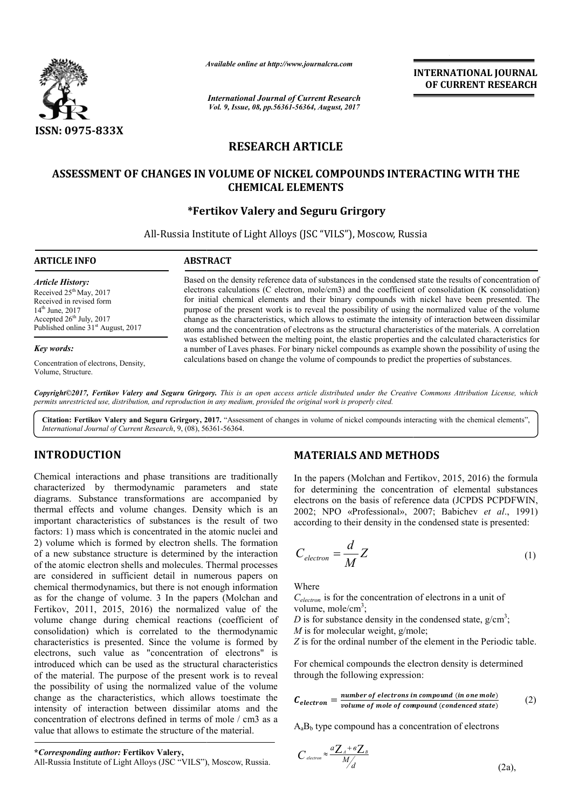

*Available online at http://www.journal http://www.journalcra.com*

*International Journal of Current Research Vol. 9, Issue, 08, pp.56361-56364, August, 2017*

**INTERNATIONAL JOURNAL OF CURRENT RESEARCH** 

# **RESEARCH ARTICLE**

# **ASSESSMENT OF CHANGES IN VOLUME OF NICKEL COMPOUNDS INTERACTING WITH THE CHEMICAL ELEMENTS**

## **\*Fertikov Valery Fertikov and Seguru Grirgory**

All-Russia Institute of Light Alloys ( Russia (JSC "VILS"), Moscow, Russia

### **ARTICLE INFO ABSTRACT**

*Article History:* Received  $25<sup>th</sup>$  May, 2017 Received in revised form 14th June, 2017 Accepted  $26<sup>th</sup>$  July, 2017 Published online 31<sup>st</sup> August, 2017

#### *Key words:*

Concentration of electrons, Density, Volume, Structure.

Based on the density reference data of substances in the condensed state the results of concentration of electrons calculations (C electron, mole/cm3) and the coefficient of consolidation (K consolidation) electrons calculations (C electron, mole/cm3) and the coefficient of consolidation (K consolidation) for initial chemical elements and their binary compounds with nickel have been presented. The purpose of the present work is to reveal the possibility of using the normalized value of the volume change as the characteristics, which allows to estimate the intensity of interaction between dissimilar atoms and the concentration of electrons as the structural characteristics of the materials. A correlation was established between the melting point, the elastic properties and the calculated characteristics for a number of Laves phases. For binary nickel compounds as example shown the possibility of using the a number of Laves phases. For binary nickel compounds as example shown the possibility of u calculations based on change the volume of compounds to predict the properties of substances.

Copyright©2017, Fertikov Valery and Seguru Grirgory. This is an open access article distributed under the Creative Commons Attribution License, which *permits unrestricted use, distribution, and reproduction in any medium, provided the original work is properly cited.*

Citation: Fertikov Valery and Seguru Grirgory, 2017. "Assessment of changes in volume of nickel compounds interacting with the chemical elements", *International Journal of Current Research*, 9, (08), 56361 56361-56364.

## **INTRODUCTION**

Chemical interactions and phase transitions are traditionally characterized by thermodynamic parameters and state diagrams. Substance transformations are accompanied by thermal effects and volume changes. Density which is an important characteristics of substances is the result of two factors: 1) mass which is concentrated in the atomic nuclei and 2) volume which is formed by electron shells. The formation of a new substance structure is determined by the interaction of the atomic electron shells and molecules. Thermal processes are considered in sufficient detail in numerous papers on chemical thermodynamics, but there is not enough information as for the change of volume. 3 In the papers (Molchan and Fertikov, 2011, 2015, 2016) the normalized value of the volume change during chemical reactions (co (coefficient of consolidation) which is correlated to the thermodynamic characteristics is presented. Since the volume is formed by electrons, such value as "concentration of electrons" is introduced which can be used as the structural characteristics of the material. The purpose of the present work is to reveal the possibility of using the normalized value of the volume change as the characteristics, which allows toestimate the intensity of interaction between dissimilar atoms and the concentration of electrons defined in terms of mole / cm3 as a value that allows to estimate the structure of the material.

## **MATERIALS AND METHODS METHODS**

In the papers (Molchan and Fertikov, 2015, 2016) the formula for determining the concentration of elemental substances electrons on the basis of reference data (JCPDS PCPDFWIN, 2002; NPO «Professional», 2007; Babichev et al., 1991) In the papers (Molchan and Fertikov, 2015, 2016) the formula<br>for determining the concentration of elemental substances<br>electrons on the basis of reference data (JCPDS PCPDFWIN,<br>2002; NPO «Professional», 2007; Babichev *et* 

according to their density in the condensed state is presented:  
\n
$$
C_{electron} = \frac{d}{M} Z
$$
\n(1)

Where

*Сelectron* is for the concentration of electrons in a unit of volume, mole/ $\text{cm}^3$ ; *C*<sub>electron</sub> is for the concentration of electrons in a unit of volume, mole/cm<sup>3</sup>;<br>*D* is for substance density in the condensed state,  $g/cm^3$ ;

*M* is for molecular weight, g/mole;

*Z* is for the ordinal number of the element in the Periodic table.

For chemical compounds the electron density is determined through the following expression:  $Z$  is for the ordinal number of the element in the Periodic tal<br>For chemical compounds the electron density is determined<br>through the following expression:

$$
C_{electron} = \frac{number\ of\ electrons\ in\ compound\ (in\ one\ mole)}{volume\ of\ mole\ of\ compound\ (condenced\ state)}
$$
 (2)

$$
A_a B_b
$$
 type compound has a concentration of electrons  
\n
$$
C_{\text{electron}} \approx \frac{a Z_A + \epsilon Z_B}{M/d}
$$
\n(2a),

**\****Corresponding author:* **Fertikov Valery,**

All-Russia Institute of Light Alloys (JSC "VILS"), Moscow, Russia.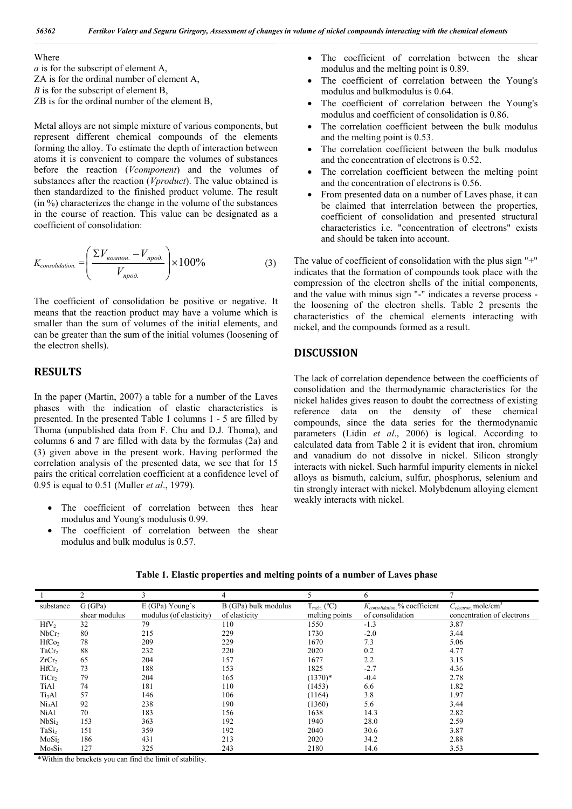Where

*a* is for the subscript of element A, ZA is for the ordinal number of element A, *B* is for the subscript of element B, ZB is for the ordinal number of the element B,

Metal alloys are not simple mixture of various components, but represent different chemical compounds of the elements forming the alloy. To estimate the depth of interaction between atoms it is convenient to compare the volumes of substances before the reaction (*Vcomponent*) and the volumes of substances after the reaction (*Vproduct*). The value obtained is then standardized to the finished product volume. The result (in %) characterizes the change in the volume of the substances in the course of reaction. This value can be designated as a coefficient of consolidation:

$$
K_{consolidation.} = \left(\frac{\Sigma V_{\kappa o \text{.}} - V_{\text{npoo.}}}{V_{\text{npoo.}}}\right) \times 100\%
$$
 (3)

The coefficient of consolidation be positive or negative. It means that the reaction product may have a volume which is smaller than the sum of volumes of the initial elements, and can be greater than the sum of the initial volumes (loosening of the electron shells).

## **RESULTS**

In the paper (Martin, 2007) a table for a number of the Laves phases with the indication of elastic characteristics is presented. In the presented Table 1 columns 1 - 5 are filled by Thoma (unpublished data from F. Chu and D.J. Thoma), and columns 6 and 7 are filled with data by the formulas (2a) and (3) given above in the present work. Having performed the correlation analysis of the presented data, we see that for 15 pairs the critical correlation coefficient at a confidence level of 0.95 is equal to 0.51 (Muller *et al*., 1979).

- The coefficient of correlation between thes hear modulus and Young's modulusis 0.99.
- The coefficient of correlation between the shear modulus and bulk modulus is 0.57.
- The coefficient of correlation between the shear modulus and the melting point is 0.89.
- The coefficient of correlation between the Young's modulus and bulkmodulus is 0.64.
- The coefficient of correlation between the Young's modulus and coefficient of consolidation is 0.86.
- The correlation coefficient between the bulk modulus and the melting point is 0.53.
- The correlation coefficient between the bulk modulus and the concentration of electrons is 0.52.
- The correlation coefficient between the melting point and the concentration of electrons is 0.56.
- From presented data on a number of Laves phase, it can be claimed that interrelation between the properties, coefficient of consolidation and presented structural characteristics i.e. "concentration of electrons" exists and should be taken into account.

The value of coefficient of consolidation with the plus sign "+" indicates that the formation of compounds took place with the compression of the electron shells of the initial components, and the value with minus sign "-" indicates a reverse process the loosening of the electron shells. Table 2 presents the characteristics of the chemical elements interacting with nickel, and the compounds formed as a result.

## **DISCUSSION**

The lack of correlation dependence between the coefficients of consolidation and the thermodynamic characteristics for the nickel halides gives reason to doubt the correctness of existing reference data on the density of these chemical compounds, since the data series for the thermodynamic parameters (Lidin *et al*., 2006) is logical. According to calculated data from Table 2 it is evident that iron, chromium and vanadium do not dissolve in nickel. Silicon strongly interacts with nickel. Such harmful impurity elements in nickel alloys as bismuth, calcium, sulfur, phosphorus, selenium and tin strongly interact with nickel. Molybdenum alloying element weakly interacts with nickel.

|                    |               |                         | 4                    |                  | 6                                         |                                       |
|--------------------|---------------|-------------------------|----------------------|------------------|-------------------------------------------|---------------------------------------|
| substance          | G(GPa)        | $E(GPa)$ Young's        | B (GPa) bulk modulus | $T_{melt.}$ (°C) | K <sub>consolidation,</sub> % coefficient | $C_{electron}$ , mole/cm <sup>3</sup> |
|                    | shear modulus | modulus (of elasticity) | of elasticity        | melting points   | of consolidation                          | concentration of electrons            |
| HfV <sub>2</sub>   | 32            | 79                      | 110                  | 1550             | $-1.3$                                    | 3.87                                  |
| NbCr <sub>2</sub>  | 80            | 215                     | 229                  | 1730             | $-2.0$                                    | 3.44                                  |
| HfCo <sub>2</sub>  | 78            | 209                     | 229                  | 1670             | 7.3                                       | 5.06                                  |
| TaCr <sub>2</sub>  | 88            | 232                     | 220                  | 2020             | 0.2                                       | 4.77                                  |
| ZrCr <sub>2</sub>  | 65            | 204                     | 157                  | 1677             | 2.2                                       | 3.15                                  |
| HfCr <sub>2</sub>  | 73            | 188                     | 153                  | 1825             | $-2.7$                                    | 4.36                                  |
| TiCr <sub>2</sub>  | 79            | 204                     | 165                  | $(1370)*$        | $-0.4$                                    | 2.78                                  |
| TiAl               | 74            | 181                     | 110                  | (1453)           | 6.6                                       | 1.82                                  |
| Ti <sub>3</sub> Al | 57            | 146                     | 106                  | (1164)           | 3.8                                       | 1.97                                  |
| Ni <sub>3</sub> Al | 92            | 238                     | 190                  | (1360)           | 5.6                                       | 3.44                                  |
| <b>NiAl</b>        | 70            | 183                     | 156                  | 1638             | 14.3                                      | 2.82                                  |
| NbSi <sub>2</sub>  | 153           | 363                     | 192                  | 1940             | 28.0                                      | 2.59                                  |
| TaSi <sub>2</sub>  | 151           | 359                     | 192                  | 2040             | 30.6                                      | 3.87                                  |
| MoSi <sub>2</sub>  | 186           | 431                     | 213                  | 2020             | 34.2                                      | 2.88                                  |
| Mo <sub>513</sub>  | 127           | 325                     | 243                  | 2180             | 14.6                                      | 3.53                                  |

**Table 1. Elastic properties and melting points of a number of Laves phase**

\*Within the brackets you can find the limit of stability.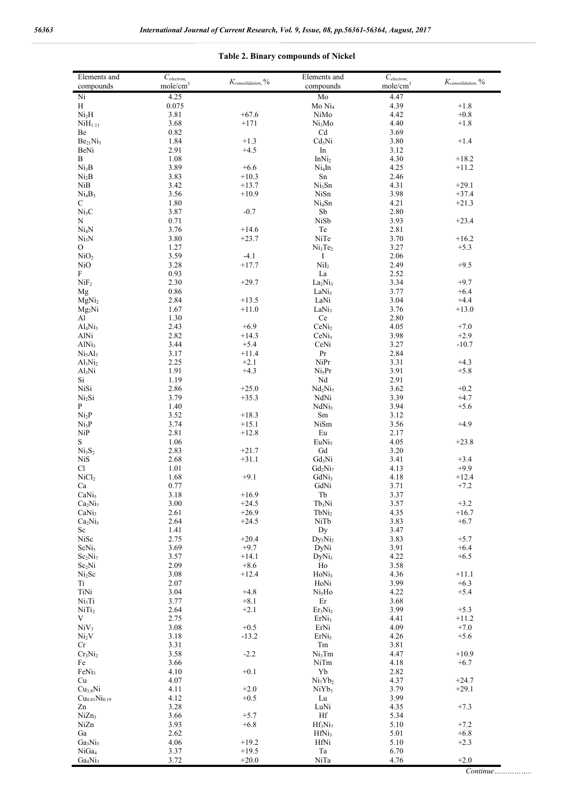| $K_{consideration,}$ %<br>$K_{consideration,}$ %<br>mole/cm <sup>3</sup><br>mole/cm <sup>3</sup><br>compounds<br>compounds<br>Ni<br>4.25<br>4.47<br>Mo<br>H<br>0.075<br>Mo Ni <sub>4</sub><br>4.39<br>$+1.8$<br>Ni <sub>2</sub> H<br>3.81<br>$+67.6$<br>$+0.8$<br>NiMo<br>4.42<br>3.68<br>NiH <sub>1.11</sub><br>$+171$<br>Ni <sub>3</sub> Mo<br>4.40<br>$+1.8$<br>0.82<br>Cd<br>3.69<br>Be<br>1.84<br>$+1.3$<br>Cd <sub>5</sub> Ni<br>$+1.4$<br>Be <sub>21</sub> Ni <sub>5</sub><br>3.80<br>2.91<br>3.12<br>BeNi<br>$+4.5$<br>In<br>1.08<br>B<br>InNi <sub>2</sub><br>4.30<br>$+18.2$<br>3.89<br>Ni <sub>3</sub> B<br>$+6.6$<br>Ni <sub>4</sub> In<br>4.25<br>$+11.2$<br>3.83<br>Sn<br>2.46<br>Ni <sub>2</sub> B<br>$+10.3$<br>NiB<br>3.42<br>Ni <sub>3</sub> Sn<br>4.31<br>$+29.1$<br>$+13.7$<br>3.56<br>NiSn<br>3.98<br>$+37.4$<br>Ni <sub>4</sub> B <sub>3</sub><br>$+10.9$<br>$1.80\,$<br>Ni <sub>4</sub> Sn<br>4.21<br>$+21.3$<br>С<br>Ni <sub>3</sub> C<br>3.87<br>${\rm Sb}$<br>$-0.7$<br>2.80<br>N<br>0.71<br>NiSb<br>3.93<br>$+23.4$<br>3.76<br>Ni <sub>4</sub> N<br>$+14.6$<br>Te<br>2.81<br>3.80<br>NiTe<br>3.70<br>$+16.2$<br>Ni <sub>3</sub> N<br>$+23.7$<br>1.27<br>Ni <sub>3</sub> Te <sub>2</sub><br>3.27<br>0<br>$+5.3$<br>NiO <sub>2</sub><br>3.59<br>$-4.1$<br>I<br>2.06<br>NiI <sub>2</sub><br>3.28<br>2.49<br>$+9.5$<br>NiO<br>$+17.7$<br>F<br>0.93<br>La<br>2.52<br>NiF <sub>2</sub><br>2.30<br>$+29.7$<br>3.34<br>$+9.7$<br>La <sub>2</sub> Ni <sub>3</sub><br>0.86<br>LaNi <sub>5</sub><br>3.77<br>$+6.4$<br>Mg<br>2.84<br>$+13.5$<br>LaNi<br>3.04<br>$+4.4$<br>MgNi <sub>2</sub><br>1.67<br>3.76<br>LaNi <sub>3</sub><br>$+13.0$<br>$Mg_2Ni$<br>$+11.0$<br>1.30<br>Al<br>Ce<br>2.80<br>2.43<br>$+6.9$<br>CeNi <sub>2</sub><br>4.05<br>$+7.0$<br>Al <sub>4</sub> Ni <sub>3</sub><br>2.82<br>3.98<br>$+2.9$<br>AlNi<br>$+14.3$<br>CeNi <sub>3</sub><br>3.44<br>$+5.4$<br>CeNi<br>3.27<br>$-10.7$<br>AlNi <sub>3</sub><br>3.17<br>$\Pr$<br>2.84<br>Ni <sub>5</sub> Al <sub>3</sub><br>$+11.4$<br>2.25<br>$\rm{NiPr}$<br>$+2.1$<br>3.31<br>$+4.3$<br>Al <sub>3</sub> Ni <sub>2</sub><br>1.91<br>$+4.3$<br>Ni <sub>5</sub> Pr<br>3.91<br>$+5.8$<br>Al <sub>3</sub> Ni<br>1.19<br>Nd<br>2.91<br>Si<br>NiSi<br>2.86<br>Nd <sub>2</sub> Ni <sub>7</sub><br>3.62<br>$+0.2$<br>$+25.0$<br>3.79<br>NdNi<br>3.39<br>Ni <sub>2</sub> Si<br>$+35.3$<br>$+4.7$<br>$\mathbf{P}$<br>1.40<br>NdNi <sub>5</sub><br>3.94<br>$+5.6$<br>Ni <sub>2</sub> P<br>3.52<br>$\rm Sm$<br>3.12<br>$+18.3$<br>3.74<br>Ni <sub>3</sub> P<br>$+15.1$<br>NiSm<br>3.56<br>$+4.9$<br>2.81<br>NiP<br>$+12.8$<br>Eu<br>2.17<br>$\mathbf S$<br>1.06<br>EuNi <sub>5</sub><br>4.05<br>$+23.8$<br>Ni <sub>3</sub> S <sub>2</sub><br>2.83<br>Gd<br>3.20<br>$+21.7$<br>2.68<br>Gd <sub>3</sub> Ni<br><b>NiS</b><br>$+31.1$<br>3.41<br>$+3.4$<br>$1.01\,$<br>$Gd_2Ni_7$<br>$+9.9$<br>Cl<br>4.13<br>NiCl <sub>2</sub><br>1.68<br>$+9.1$<br>GdNi <sub>3</sub><br>4.18<br>$+12.4$ |  |
|------------------------------------------------------------------------------------------------------------------------------------------------------------------------------------------------------------------------------------------------------------------------------------------------------------------------------------------------------------------------------------------------------------------------------------------------------------------------------------------------------------------------------------------------------------------------------------------------------------------------------------------------------------------------------------------------------------------------------------------------------------------------------------------------------------------------------------------------------------------------------------------------------------------------------------------------------------------------------------------------------------------------------------------------------------------------------------------------------------------------------------------------------------------------------------------------------------------------------------------------------------------------------------------------------------------------------------------------------------------------------------------------------------------------------------------------------------------------------------------------------------------------------------------------------------------------------------------------------------------------------------------------------------------------------------------------------------------------------------------------------------------------------------------------------------------------------------------------------------------------------------------------------------------------------------------------------------------------------------------------------------------------------------------------------------------------------------------------------------------------------------------------------------------------------------------------------------------------------------------------------------------------------------------------------------------------------------------------------------------------------------------------------------------------------------------------------------------------------------------------------------------------------------------------------------------------------------------------------------------------------------------------------------------------------------------------------------------------------------------------------------------------------------------------------------------------------------------------------------------------------------------------------------------------------------------------------------|--|
|                                                                                                                                                                                                                                                                                                                                                                                                                                                                                                                                                                                                                                                                                                                                                                                                                                                                                                                                                                                                                                                                                                                                                                                                                                                                                                                                                                                                                                                                                                                                                                                                                                                                                                                                                                                                                                                                                                                                                                                                                                                                                                                                                                                                                                                                                                                                                                                                                                                                                                                                                                                                                                                                                                                                                                                                                                                                                                                                                            |  |
|                                                                                                                                                                                                                                                                                                                                                                                                                                                                                                                                                                                                                                                                                                                                                                                                                                                                                                                                                                                                                                                                                                                                                                                                                                                                                                                                                                                                                                                                                                                                                                                                                                                                                                                                                                                                                                                                                                                                                                                                                                                                                                                                                                                                                                                                                                                                                                                                                                                                                                                                                                                                                                                                                                                                                                                                                                                                                                                                                            |  |
|                                                                                                                                                                                                                                                                                                                                                                                                                                                                                                                                                                                                                                                                                                                                                                                                                                                                                                                                                                                                                                                                                                                                                                                                                                                                                                                                                                                                                                                                                                                                                                                                                                                                                                                                                                                                                                                                                                                                                                                                                                                                                                                                                                                                                                                                                                                                                                                                                                                                                                                                                                                                                                                                                                                                                                                                                                                                                                                                                            |  |
|                                                                                                                                                                                                                                                                                                                                                                                                                                                                                                                                                                                                                                                                                                                                                                                                                                                                                                                                                                                                                                                                                                                                                                                                                                                                                                                                                                                                                                                                                                                                                                                                                                                                                                                                                                                                                                                                                                                                                                                                                                                                                                                                                                                                                                                                                                                                                                                                                                                                                                                                                                                                                                                                                                                                                                                                                                                                                                                                                            |  |
|                                                                                                                                                                                                                                                                                                                                                                                                                                                                                                                                                                                                                                                                                                                                                                                                                                                                                                                                                                                                                                                                                                                                                                                                                                                                                                                                                                                                                                                                                                                                                                                                                                                                                                                                                                                                                                                                                                                                                                                                                                                                                                                                                                                                                                                                                                                                                                                                                                                                                                                                                                                                                                                                                                                                                                                                                                                                                                                                                            |  |
|                                                                                                                                                                                                                                                                                                                                                                                                                                                                                                                                                                                                                                                                                                                                                                                                                                                                                                                                                                                                                                                                                                                                                                                                                                                                                                                                                                                                                                                                                                                                                                                                                                                                                                                                                                                                                                                                                                                                                                                                                                                                                                                                                                                                                                                                                                                                                                                                                                                                                                                                                                                                                                                                                                                                                                                                                                                                                                                                                            |  |
|                                                                                                                                                                                                                                                                                                                                                                                                                                                                                                                                                                                                                                                                                                                                                                                                                                                                                                                                                                                                                                                                                                                                                                                                                                                                                                                                                                                                                                                                                                                                                                                                                                                                                                                                                                                                                                                                                                                                                                                                                                                                                                                                                                                                                                                                                                                                                                                                                                                                                                                                                                                                                                                                                                                                                                                                                                                                                                                                                            |  |
|                                                                                                                                                                                                                                                                                                                                                                                                                                                                                                                                                                                                                                                                                                                                                                                                                                                                                                                                                                                                                                                                                                                                                                                                                                                                                                                                                                                                                                                                                                                                                                                                                                                                                                                                                                                                                                                                                                                                                                                                                                                                                                                                                                                                                                                                                                                                                                                                                                                                                                                                                                                                                                                                                                                                                                                                                                                                                                                                                            |  |
|                                                                                                                                                                                                                                                                                                                                                                                                                                                                                                                                                                                                                                                                                                                                                                                                                                                                                                                                                                                                                                                                                                                                                                                                                                                                                                                                                                                                                                                                                                                                                                                                                                                                                                                                                                                                                                                                                                                                                                                                                                                                                                                                                                                                                                                                                                                                                                                                                                                                                                                                                                                                                                                                                                                                                                                                                                                                                                                                                            |  |
|                                                                                                                                                                                                                                                                                                                                                                                                                                                                                                                                                                                                                                                                                                                                                                                                                                                                                                                                                                                                                                                                                                                                                                                                                                                                                                                                                                                                                                                                                                                                                                                                                                                                                                                                                                                                                                                                                                                                                                                                                                                                                                                                                                                                                                                                                                                                                                                                                                                                                                                                                                                                                                                                                                                                                                                                                                                                                                                                                            |  |
|                                                                                                                                                                                                                                                                                                                                                                                                                                                                                                                                                                                                                                                                                                                                                                                                                                                                                                                                                                                                                                                                                                                                                                                                                                                                                                                                                                                                                                                                                                                                                                                                                                                                                                                                                                                                                                                                                                                                                                                                                                                                                                                                                                                                                                                                                                                                                                                                                                                                                                                                                                                                                                                                                                                                                                                                                                                                                                                                                            |  |
|                                                                                                                                                                                                                                                                                                                                                                                                                                                                                                                                                                                                                                                                                                                                                                                                                                                                                                                                                                                                                                                                                                                                                                                                                                                                                                                                                                                                                                                                                                                                                                                                                                                                                                                                                                                                                                                                                                                                                                                                                                                                                                                                                                                                                                                                                                                                                                                                                                                                                                                                                                                                                                                                                                                                                                                                                                                                                                                                                            |  |
|                                                                                                                                                                                                                                                                                                                                                                                                                                                                                                                                                                                                                                                                                                                                                                                                                                                                                                                                                                                                                                                                                                                                                                                                                                                                                                                                                                                                                                                                                                                                                                                                                                                                                                                                                                                                                                                                                                                                                                                                                                                                                                                                                                                                                                                                                                                                                                                                                                                                                                                                                                                                                                                                                                                                                                                                                                                                                                                                                            |  |
|                                                                                                                                                                                                                                                                                                                                                                                                                                                                                                                                                                                                                                                                                                                                                                                                                                                                                                                                                                                                                                                                                                                                                                                                                                                                                                                                                                                                                                                                                                                                                                                                                                                                                                                                                                                                                                                                                                                                                                                                                                                                                                                                                                                                                                                                                                                                                                                                                                                                                                                                                                                                                                                                                                                                                                                                                                                                                                                                                            |  |
|                                                                                                                                                                                                                                                                                                                                                                                                                                                                                                                                                                                                                                                                                                                                                                                                                                                                                                                                                                                                                                                                                                                                                                                                                                                                                                                                                                                                                                                                                                                                                                                                                                                                                                                                                                                                                                                                                                                                                                                                                                                                                                                                                                                                                                                                                                                                                                                                                                                                                                                                                                                                                                                                                                                                                                                                                                                                                                                                                            |  |
|                                                                                                                                                                                                                                                                                                                                                                                                                                                                                                                                                                                                                                                                                                                                                                                                                                                                                                                                                                                                                                                                                                                                                                                                                                                                                                                                                                                                                                                                                                                                                                                                                                                                                                                                                                                                                                                                                                                                                                                                                                                                                                                                                                                                                                                                                                                                                                                                                                                                                                                                                                                                                                                                                                                                                                                                                                                                                                                                                            |  |
|                                                                                                                                                                                                                                                                                                                                                                                                                                                                                                                                                                                                                                                                                                                                                                                                                                                                                                                                                                                                                                                                                                                                                                                                                                                                                                                                                                                                                                                                                                                                                                                                                                                                                                                                                                                                                                                                                                                                                                                                                                                                                                                                                                                                                                                                                                                                                                                                                                                                                                                                                                                                                                                                                                                                                                                                                                                                                                                                                            |  |
|                                                                                                                                                                                                                                                                                                                                                                                                                                                                                                                                                                                                                                                                                                                                                                                                                                                                                                                                                                                                                                                                                                                                                                                                                                                                                                                                                                                                                                                                                                                                                                                                                                                                                                                                                                                                                                                                                                                                                                                                                                                                                                                                                                                                                                                                                                                                                                                                                                                                                                                                                                                                                                                                                                                                                                                                                                                                                                                                                            |  |
|                                                                                                                                                                                                                                                                                                                                                                                                                                                                                                                                                                                                                                                                                                                                                                                                                                                                                                                                                                                                                                                                                                                                                                                                                                                                                                                                                                                                                                                                                                                                                                                                                                                                                                                                                                                                                                                                                                                                                                                                                                                                                                                                                                                                                                                                                                                                                                                                                                                                                                                                                                                                                                                                                                                                                                                                                                                                                                                                                            |  |
|                                                                                                                                                                                                                                                                                                                                                                                                                                                                                                                                                                                                                                                                                                                                                                                                                                                                                                                                                                                                                                                                                                                                                                                                                                                                                                                                                                                                                                                                                                                                                                                                                                                                                                                                                                                                                                                                                                                                                                                                                                                                                                                                                                                                                                                                                                                                                                                                                                                                                                                                                                                                                                                                                                                                                                                                                                                                                                                                                            |  |
|                                                                                                                                                                                                                                                                                                                                                                                                                                                                                                                                                                                                                                                                                                                                                                                                                                                                                                                                                                                                                                                                                                                                                                                                                                                                                                                                                                                                                                                                                                                                                                                                                                                                                                                                                                                                                                                                                                                                                                                                                                                                                                                                                                                                                                                                                                                                                                                                                                                                                                                                                                                                                                                                                                                                                                                                                                                                                                                                                            |  |
|                                                                                                                                                                                                                                                                                                                                                                                                                                                                                                                                                                                                                                                                                                                                                                                                                                                                                                                                                                                                                                                                                                                                                                                                                                                                                                                                                                                                                                                                                                                                                                                                                                                                                                                                                                                                                                                                                                                                                                                                                                                                                                                                                                                                                                                                                                                                                                                                                                                                                                                                                                                                                                                                                                                                                                                                                                                                                                                                                            |  |
|                                                                                                                                                                                                                                                                                                                                                                                                                                                                                                                                                                                                                                                                                                                                                                                                                                                                                                                                                                                                                                                                                                                                                                                                                                                                                                                                                                                                                                                                                                                                                                                                                                                                                                                                                                                                                                                                                                                                                                                                                                                                                                                                                                                                                                                                                                                                                                                                                                                                                                                                                                                                                                                                                                                                                                                                                                                                                                                                                            |  |
|                                                                                                                                                                                                                                                                                                                                                                                                                                                                                                                                                                                                                                                                                                                                                                                                                                                                                                                                                                                                                                                                                                                                                                                                                                                                                                                                                                                                                                                                                                                                                                                                                                                                                                                                                                                                                                                                                                                                                                                                                                                                                                                                                                                                                                                                                                                                                                                                                                                                                                                                                                                                                                                                                                                                                                                                                                                                                                                                                            |  |
|                                                                                                                                                                                                                                                                                                                                                                                                                                                                                                                                                                                                                                                                                                                                                                                                                                                                                                                                                                                                                                                                                                                                                                                                                                                                                                                                                                                                                                                                                                                                                                                                                                                                                                                                                                                                                                                                                                                                                                                                                                                                                                                                                                                                                                                                                                                                                                                                                                                                                                                                                                                                                                                                                                                                                                                                                                                                                                                                                            |  |
|                                                                                                                                                                                                                                                                                                                                                                                                                                                                                                                                                                                                                                                                                                                                                                                                                                                                                                                                                                                                                                                                                                                                                                                                                                                                                                                                                                                                                                                                                                                                                                                                                                                                                                                                                                                                                                                                                                                                                                                                                                                                                                                                                                                                                                                                                                                                                                                                                                                                                                                                                                                                                                                                                                                                                                                                                                                                                                                                                            |  |
|                                                                                                                                                                                                                                                                                                                                                                                                                                                                                                                                                                                                                                                                                                                                                                                                                                                                                                                                                                                                                                                                                                                                                                                                                                                                                                                                                                                                                                                                                                                                                                                                                                                                                                                                                                                                                                                                                                                                                                                                                                                                                                                                                                                                                                                                                                                                                                                                                                                                                                                                                                                                                                                                                                                                                                                                                                                                                                                                                            |  |
|                                                                                                                                                                                                                                                                                                                                                                                                                                                                                                                                                                                                                                                                                                                                                                                                                                                                                                                                                                                                                                                                                                                                                                                                                                                                                                                                                                                                                                                                                                                                                                                                                                                                                                                                                                                                                                                                                                                                                                                                                                                                                                                                                                                                                                                                                                                                                                                                                                                                                                                                                                                                                                                                                                                                                                                                                                                                                                                                                            |  |
|                                                                                                                                                                                                                                                                                                                                                                                                                                                                                                                                                                                                                                                                                                                                                                                                                                                                                                                                                                                                                                                                                                                                                                                                                                                                                                                                                                                                                                                                                                                                                                                                                                                                                                                                                                                                                                                                                                                                                                                                                                                                                                                                                                                                                                                                                                                                                                                                                                                                                                                                                                                                                                                                                                                                                                                                                                                                                                                                                            |  |
|                                                                                                                                                                                                                                                                                                                                                                                                                                                                                                                                                                                                                                                                                                                                                                                                                                                                                                                                                                                                                                                                                                                                                                                                                                                                                                                                                                                                                                                                                                                                                                                                                                                                                                                                                                                                                                                                                                                                                                                                                                                                                                                                                                                                                                                                                                                                                                                                                                                                                                                                                                                                                                                                                                                                                                                                                                                                                                                                                            |  |
|                                                                                                                                                                                                                                                                                                                                                                                                                                                                                                                                                                                                                                                                                                                                                                                                                                                                                                                                                                                                                                                                                                                                                                                                                                                                                                                                                                                                                                                                                                                                                                                                                                                                                                                                                                                                                                                                                                                                                                                                                                                                                                                                                                                                                                                                                                                                                                                                                                                                                                                                                                                                                                                                                                                                                                                                                                                                                                                                                            |  |
|                                                                                                                                                                                                                                                                                                                                                                                                                                                                                                                                                                                                                                                                                                                                                                                                                                                                                                                                                                                                                                                                                                                                                                                                                                                                                                                                                                                                                                                                                                                                                                                                                                                                                                                                                                                                                                                                                                                                                                                                                                                                                                                                                                                                                                                                                                                                                                                                                                                                                                                                                                                                                                                                                                                                                                                                                                                                                                                                                            |  |
|                                                                                                                                                                                                                                                                                                                                                                                                                                                                                                                                                                                                                                                                                                                                                                                                                                                                                                                                                                                                                                                                                                                                                                                                                                                                                                                                                                                                                                                                                                                                                                                                                                                                                                                                                                                                                                                                                                                                                                                                                                                                                                                                                                                                                                                                                                                                                                                                                                                                                                                                                                                                                                                                                                                                                                                                                                                                                                                                                            |  |
|                                                                                                                                                                                                                                                                                                                                                                                                                                                                                                                                                                                                                                                                                                                                                                                                                                                                                                                                                                                                                                                                                                                                                                                                                                                                                                                                                                                                                                                                                                                                                                                                                                                                                                                                                                                                                                                                                                                                                                                                                                                                                                                                                                                                                                                                                                                                                                                                                                                                                                                                                                                                                                                                                                                                                                                                                                                                                                                                                            |  |
|                                                                                                                                                                                                                                                                                                                                                                                                                                                                                                                                                                                                                                                                                                                                                                                                                                                                                                                                                                                                                                                                                                                                                                                                                                                                                                                                                                                                                                                                                                                                                                                                                                                                                                                                                                                                                                                                                                                                                                                                                                                                                                                                                                                                                                                                                                                                                                                                                                                                                                                                                                                                                                                                                                                                                                                                                                                                                                                                                            |  |
|                                                                                                                                                                                                                                                                                                                                                                                                                                                                                                                                                                                                                                                                                                                                                                                                                                                                                                                                                                                                                                                                                                                                                                                                                                                                                                                                                                                                                                                                                                                                                                                                                                                                                                                                                                                                                                                                                                                                                                                                                                                                                                                                                                                                                                                                                                                                                                                                                                                                                                                                                                                                                                                                                                                                                                                                                                                                                                                                                            |  |
|                                                                                                                                                                                                                                                                                                                                                                                                                                                                                                                                                                                                                                                                                                                                                                                                                                                                                                                                                                                                                                                                                                                                                                                                                                                                                                                                                                                                                                                                                                                                                                                                                                                                                                                                                                                                                                                                                                                                                                                                                                                                                                                                                                                                                                                                                                                                                                                                                                                                                                                                                                                                                                                                                                                                                                                                                                                                                                                                                            |  |
|                                                                                                                                                                                                                                                                                                                                                                                                                                                                                                                                                                                                                                                                                                                                                                                                                                                                                                                                                                                                                                                                                                                                                                                                                                                                                                                                                                                                                                                                                                                                                                                                                                                                                                                                                                                                                                                                                                                                                                                                                                                                                                                                                                                                                                                                                                                                                                                                                                                                                                                                                                                                                                                                                                                                                                                                                                                                                                                                                            |  |
|                                                                                                                                                                                                                                                                                                                                                                                                                                                                                                                                                                                                                                                                                                                                                                                                                                                                                                                                                                                                                                                                                                                                                                                                                                                                                                                                                                                                                                                                                                                                                                                                                                                                                                                                                                                                                                                                                                                                                                                                                                                                                                                                                                                                                                                                                                                                                                                                                                                                                                                                                                                                                                                                                                                                                                                                                                                                                                                                                            |  |
|                                                                                                                                                                                                                                                                                                                                                                                                                                                                                                                                                                                                                                                                                                                                                                                                                                                                                                                                                                                                                                                                                                                                                                                                                                                                                                                                                                                                                                                                                                                                                                                                                                                                                                                                                                                                                                                                                                                                                                                                                                                                                                                                                                                                                                                                                                                                                                                                                                                                                                                                                                                                                                                                                                                                                                                                                                                                                                                                                            |  |
|                                                                                                                                                                                                                                                                                                                                                                                                                                                                                                                                                                                                                                                                                                                                                                                                                                                                                                                                                                                                                                                                                                                                                                                                                                                                                                                                                                                                                                                                                                                                                                                                                                                                                                                                                                                                                                                                                                                                                                                                                                                                                                                                                                                                                                                                                                                                                                                                                                                                                                                                                                                                                                                                                                                                                                                                                                                                                                                                                            |  |
|                                                                                                                                                                                                                                                                                                                                                                                                                                                                                                                                                                                                                                                                                                                                                                                                                                                                                                                                                                                                                                                                                                                                                                                                                                                                                                                                                                                                                                                                                                                                                                                                                                                                                                                                                                                                                                                                                                                                                                                                                                                                                                                                                                                                                                                                                                                                                                                                                                                                                                                                                                                                                                                                                                                                                                                                                                                                                                                                                            |  |
| 0.77<br>GdNi<br>3.71<br>$+7.2$<br>Ca                                                                                                                                                                                                                                                                                                                                                                                                                                                                                                                                                                                                                                                                                                                                                                                                                                                                                                                                                                                                                                                                                                                                                                                                                                                                                                                                                                                                                                                                                                                                                                                                                                                                                                                                                                                                                                                                                                                                                                                                                                                                                                                                                                                                                                                                                                                                                                                                                                                                                                                                                                                                                                                                                                                                                                                                                                                                                                                       |  |
| 3.18<br>CaNi <sub>5</sub><br>$+16.9$<br>Tb<br>3.37                                                                                                                                                                                                                                                                                                                                                                                                                                                                                                                                                                                                                                                                                                                                                                                                                                                                                                                                                                                                                                                                                                                                                                                                                                                                                                                                                                                                                                                                                                                                                                                                                                                                                                                                                                                                                                                                                                                                                                                                                                                                                                                                                                                                                                                                                                                                                                                                                                                                                                                                                                                                                                                                                                                                                                                                                                                                                                         |  |
| $3.00\,$<br>3.57<br>$Tb_3Ni$<br>$+3.2$<br>Ca <sub>2</sub> Ni <sub>7</sub><br>$+24.5$                                                                                                                                                                                                                                                                                                                                                                                                                                                                                                                                                                                                                                                                                                                                                                                                                                                                                                                                                                                                                                                                                                                                                                                                                                                                                                                                                                                                                                                                                                                                                                                                                                                                                                                                                                                                                                                                                                                                                                                                                                                                                                                                                                                                                                                                                                                                                                                                                                                                                                                                                                                                                                                                                                                                                                                                                                                                       |  |
| TbNi <sub>2</sub><br>4.35<br>CaNi <sub>3</sub><br>2.61<br>$+26.9$<br>$+16.7$                                                                                                                                                                                                                                                                                                                                                                                                                                                                                                                                                                                                                                                                                                                                                                                                                                                                                                                                                                                                                                                                                                                                                                                                                                                                                                                                                                                                                                                                                                                                                                                                                                                                                                                                                                                                                                                                                                                                                                                                                                                                                                                                                                                                                                                                                                                                                                                                                                                                                                                                                                                                                                                                                                                                                                                                                                                                               |  |
| 2.64<br>NiTb<br>3.83<br>Ca <sub>2</sub> Ni <sub>5</sub><br>$+24.5$<br>$+6.7$                                                                                                                                                                                                                                                                                                                                                                                                                                                                                                                                                                                                                                                                                                                                                                                                                                                                                                                                                                                                                                                                                                                                                                                                                                                                                                                                                                                                                                                                                                                                                                                                                                                                                                                                                                                                                                                                                                                                                                                                                                                                                                                                                                                                                                                                                                                                                                                                                                                                                                                                                                                                                                                                                                                                                                                                                                                                               |  |
| Dy<br>Sc<br>1.41<br>3.47                                                                                                                                                                                                                                                                                                                                                                                                                                                                                                                                                                                                                                                                                                                                                                                                                                                                                                                                                                                                                                                                                                                                                                                                                                                                                                                                                                                                                                                                                                                                                                                                                                                                                                                                                                                                                                                                                                                                                                                                                                                                                                                                                                                                                                                                                                                                                                                                                                                                                                                                                                                                                                                                                                                                                                                                                                                                                                                                   |  |
| NiSc<br>2.75<br>$+20.4$<br>$Dy_3Ni_2$<br>3.83<br>$+5.7$                                                                                                                                                                                                                                                                                                                                                                                                                                                                                                                                                                                                                                                                                                                                                                                                                                                                                                                                                                                                                                                                                                                                                                                                                                                                                                                                                                                                                                                                                                                                                                                                                                                                                                                                                                                                                                                                                                                                                                                                                                                                                                                                                                                                                                                                                                                                                                                                                                                                                                                                                                                                                                                                                                                                                                                                                                                                                                    |  |
| 3.69<br>$+9.7$<br>3.91<br>ScNi <sub>5</sub><br>DyNi<br>$+6.4$                                                                                                                                                                                                                                                                                                                                                                                                                                                                                                                                                                                                                                                                                                                                                                                                                                                                                                                                                                                                                                                                                                                                                                                                                                                                                                                                                                                                                                                                                                                                                                                                                                                                                                                                                                                                                                                                                                                                                                                                                                                                                                                                                                                                                                                                                                                                                                                                                                                                                                                                                                                                                                                                                                                                                                                                                                                                                              |  |
| 3.57<br>$+14.1$<br>4.22<br>$+6.5$<br>Sc <sub>2</sub> Ni <sub>7</sub><br>DyNi <sub>5</sub>                                                                                                                                                                                                                                                                                                                                                                                                                                                                                                                                                                                                                                                                                                                                                                                                                                                                                                                                                                                                                                                                                                                                                                                                                                                                                                                                                                                                                                                                                                                                                                                                                                                                                                                                                                                                                                                                                                                                                                                                                                                                                                                                                                                                                                                                                                                                                                                                                                                                                                                                                                                                                                                                                                                                                                                                                                                                  |  |
| 2.09<br>$+8.6$<br>Ho<br>3.58<br>Sc <sub>2</sub> Ni                                                                                                                                                                                                                                                                                                                                                                                                                                                                                                                                                                                                                                                                                                                                                                                                                                                                                                                                                                                                                                                                                                                                                                                                                                                                                                                                                                                                                                                                                                                                                                                                                                                                                                                                                                                                                                                                                                                                                                                                                                                                                                                                                                                                                                                                                                                                                                                                                                                                                                                                                                                                                                                                                                                                                                                                                                                                                                         |  |
| 3.08<br>HoNi <sub>3</sub><br>4.36<br>$+11.1$<br>Ni <sub>2</sub> Sc<br>$+12.4$                                                                                                                                                                                                                                                                                                                                                                                                                                                                                                                                                                                                                                                                                                                                                                                                                                                                                                                                                                                                                                                                                                                                                                                                                                                                                                                                                                                                                                                                                                                                                                                                                                                                                                                                                                                                                                                                                                                                                                                                                                                                                                                                                                                                                                                                                                                                                                                                                                                                                                                                                                                                                                                                                                                                                                                                                                                                              |  |
| 2.07<br>3.99<br>$+6.3$<br>Ti<br>HoNi<br>3.04<br>4.22<br>$+5.4$                                                                                                                                                                                                                                                                                                                                                                                                                                                                                                                                                                                                                                                                                                                                                                                                                                                                                                                                                                                                                                                                                                                                                                                                                                                                                                                                                                                                                                                                                                                                                                                                                                                                                                                                                                                                                                                                                                                                                                                                                                                                                                                                                                                                                                                                                                                                                                                                                                                                                                                                                                                                                                                                                                                                                                                                                                                                                             |  |
| TiNi<br>$+4.8$<br>Ni <sub>5</sub> Ho<br>Ni <sub>3</sub> Ti<br>3.77<br>Er<br>$+8.1$<br>3.68                                                                                                                                                                                                                                                                                                                                                                                                                                                                                                                                                                                                                                                                                                                                                                                                                                                                                                                                                                                                                                                                                                                                                                                                                                                                                                                                                                                                                                                                                                                                                                                                                                                                                                                                                                                                                                                                                                                                                                                                                                                                                                                                                                                                                                                                                                                                                                                                                                                                                                                                                                                                                                                                                                                                                                                                                                                                 |  |
| 2.64<br>3.99<br>$+5.3$<br>$NiT_{2}$<br>$+2.1$<br>Er <sub>3</sub> Ni <sub>2</sub>                                                                                                                                                                                                                                                                                                                                                                                                                                                                                                                                                                                                                                                                                                                                                                                                                                                                                                                                                                                                                                                                                                                                                                                                                                                                                                                                                                                                                                                                                                                                                                                                                                                                                                                                                                                                                                                                                                                                                                                                                                                                                                                                                                                                                                                                                                                                                                                                                                                                                                                                                                                                                                                                                                                                                                                                                                                                           |  |
| V<br>2.75<br>4.41<br>ErNi <sub>3</sub><br>$+11.2$                                                                                                                                                                                                                                                                                                                                                                                                                                                                                                                                                                                                                                                                                                                                                                                                                                                                                                                                                                                                                                                                                                                                                                                                                                                                                                                                                                                                                                                                                                                                                                                                                                                                                                                                                                                                                                                                                                                                                                                                                                                                                                                                                                                                                                                                                                                                                                                                                                                                                                                                                                                                                                                                                                                                                                                                                                                                                                          |  |
| NiV <sub>3</sub><br>3.08<br>$+0.5$<br>ErNi<br>4.09<br>$+7.0$                                                                                                                                                                                                                                                                                                                                                                                                                                                                                                                                                                                                                                                                                                                                                                                                                                                                                                                                                                                                                                                                                                                                                                                                                                                                                                                                                                                                                                                                                                                                                                                                                                                                                                                                                                                                                                                                                                                                                                                                                                                                                                                                                                                                                                                                                                                                                                                                                                                                                                                                                                                                                                                                                                                                                                                                                                                                                               |  |
| 3.18<br>$+5.6$<br>Ni <sub>2</sub> V<br>$-13.2$<br>ErNi <sub>5</sub><br>4.26                                                                                                                                                                                                                                                                                                                                                                                                                                                                                                                                                                                                                                                                                                                                                                                                                                                                                                                                                                                                                                                                                                                                                                                                                                                                                                                                                                                                                                                                                                                                                                                                                                                                                                                                                                                                                                                                                                                                                                                                                                                                                                                                                                                                                                                                                                                                                                                                                                                                                                                                                                                                                                                                                                                                                                                                                                                                                |  |
| Cr<br>3.31<br>Tm<br>3.81                                                                                                                                                                                                                                                                                                                                                                                                                                                                                                                                                                                                                                                                                                                                                                                                                                                                                                                                                                                                                                                                                                                                                                                                                                                                                                                                                                                                                                                                                                                                                                                                                                                                                                                                                                                                                                                                                                                                                                                                                                                                                                                                                                                                                                                                                                                                                                                                                                                                                                                                                                                                                                                                                                                                                                                                                                                                                                                                   |  |
| 3.58<br>$-2.2$<br>$+10.9$<br>Cr <sub>3</sub> Ni <sub>2</sub><br>Ni <sub>3</sub> Tm<br>4.47                                                                                                                                                                                                                                                                                                                                                                                                                                                                                                                                                                                                                                                                                                                                                                                                                                                                                                                                                                                                                                                                                                                                                                                                                                                                                                                                                                                                                                                                                                                                                                                                                                                                                                                                                                                                                                                                                                                                                                                                                                                                                                                                                                                                                                                                                                                                                                                                                                                                                                                                                                                                                                                                                                                                                                                                                                                                 |  |
| Fe<br>3.66<br>NiTm<br>4.18<br>$+6.7$                                                                                                                                                                                                                                                                                                                                                                                                                                                                                                                                                                                                                                                                                                                                                                                                                                                                                                                                                                                                                                                                                                                                                                                                                                                                                                                                                                                                                                                                                                                                                                                                                                                                                                                                                                                                                                                                                                                                                                                                                                                                                                                                                                                                                                                                                                                                                                                                                                                                                                                                                                                                                                                                                                                                                                                                                                                                                                                       |  |
| FeN <sub>i3</sub><br>4.10<br>$+0.1$<br>Yb<br>2.82                                                                                                                                                                                                                                                                                                                                                                                                                                                                                                                                                                                                                                                                                                                                                                                                                                                                                                                                                                                                                                                                                                                                                                                                                                                                                                                                                                                                                                                                                                                                                                                                                                                                                                                                                                                                                                                                                                                                                                                                                                                                                                                                                                                                                                                                                                                                                                                                                                                                                                                                                                                                                                                                                                                                                                                                                                                                                                          |  |
| 4.07<br>Ni <sub>7</sub> Yb <sub>2</sub><br>$+24.7$<br>Cu<br>4.37                                                                                                                                                                                                                                                                                                                                                                                                                                                                                                                                                                                                                                                                                                                                                                                                                                                                                                                                                                                                                                                                                                                                                                                                                                                                                                                                                                                                                                                                                                                                                                                                                                                                                                                                                                                                                                                                                                                                                                                                                                                                                                                                                                                                                                                                                                                                                                                                                                                                                                                                                                                                                                                                                                                                                                                                                                                                                           |  |
| Cu <sub>3.8</sub> Ni<br>4.11<br>$+2.0$<br>NiYb <sub>3</sub><br>3.79<br>$+29.1$                                                                                                                                                                                                                                                                                                                                                                                                                                                                                                                                                                                                                                                                                                                                                                                                                                                                                                                                                                                                                                                                                                                                                                                                                                                                                                                                                                                                                                                                                                                                                                                                                                                                                                                                                                                                                                                                                                                                                                                                                                                                                                                                                                                                                                                                                                                                                                                                                                                                                                                                                                                                                                                                                                                                                                                                                                                                             |  |
| 4.12<br>$+0.5$<br>3.99<br>$Cu_{0.81}Ni_{0.19}$<br>Lu                                                                                                                                                                                                                                                                                                                                                                                                                                                                                                                                                                                                                                                                                                                                                                                                                                                                                                                                                                                                                                                                                                                                                                                                                                                                                                                                                                                                                                                                                                                                                                                                                                                                                                                                                                                                                                                                                                                                                                                                                                                                                                                                                                                                                                                                                                                                                                                                                                                                                                                                                                                                                                                                                                                                                                                                                                                                                                       |  |
| Zn<br>3.28<br>LuNi<br>4.35<br>$+7.3$                                                                                                                                                                                                                                                                                                                                                                                                                                                                                                                                                                                                                                                                                                                                                                                                                                                                                                                                                                                                                                                                                                                                                                                                                                                                                                                                                                                                                                                                                                                                                                                                                                                                                                                                                                                                                                                                                                                                                                                                                                                                                                                                                                                                                                                                                                                                                                                                                                                                                                                                                                                                                                                                                                                                                                                                                                                                                                                       |  |
| Hf<br>NiZn <sub>3</sub><br>3.66<br>$+5.7$<br>5.34                                                                                                                                                                                                                                                                                                                                                                                                                                                                                                                                                                                                                                                                                                                                                                                                                                                                                                                                                                                                                                                                                                                                                                                                                                                                                                                                                                                                                                                                                                                                                                                                                                                                                                                                                                                                                                                                                                                                                                                                                                                                                                                                                                                                                                                                                                                                                                                                                                                                                                                                                                                                                                                                                                                                                                                                                                                                                                          |  |
| NiZn<br>3.93<br>$+6.8$<br>5.10<br>$+7.2$<br>$Hf_3Ni_7$                                                                                                                                                                                                                                                                                                                                                                                                                                                                                                                                                                                                                                                                                                                                                                                                                                                                                                                                                                                                                                                                                                                                                                                                                                                                                                                                                                                                                                                                                                                                                                                                                                                                                                                                                                                                                                                                                                                                                                                                                                                                                                                                                                                                                                                                                                                                                                                                                                                                                                                                                                                                                                                                                                                                                                                                                                                                                                     |  |
| 2.62<br>5.01<br>$+6.8$<br>Ga<br>HfNi <sub>3</sub><br>4.06<br>$+19.2$<br>HfNi<br>5.10<br>Ga <sub>3</sub> Ni <sub>5</sub><br>$+2.3$                                                                                                                                                                                                                                                                                                                                                                                                                                                                                                                                                                                                                                                                                                                                                                                                                                                                                                                                                                                                                                                                                                                                                                                                                                                                                                                                                                                                                                                                                                                                                                                                                                                                                                                                                                                                                                                                                                                                                                                                                                                                                                                                                                                                                                                                                                                                                                                                                                                                                                                                                                                                                                                                                                                                                                                                                          |  |
| NiGa <sub>4</sub><br>3.37<br>$+19.5$<br>Ta<br>6.70                                                                                                                                                                                                                                                                                                                                                                                                                                                                                                                                                                                                                                                                                                                                                                                                                                                                                                                                                                                                                                                                                                                                                                                                                                                                                                                                                                                                                                                                                                                                                                                                                                                                                                                                                                                                                                                                                                                                                                                                                                                                                                                                                                                                                                                                                                                                                                                                                                                                                                                                                                                                                                                                                                                                                                                                                                                                                                         |  |
| 3.72<br>NiTa<br>$+2.0$<br>$+20.0$<br>4.76<br>Ga <sub>4</sub> Ni <sub>3</sub>                                                                                                                                                                                                                                                                                                                                                                                                                                                                                                                                                                                                                                                                                                                                                                                                                                                                                                                                                                                                                                                                                                                                                                                                                                                                                                                                                                                                                                                                                                                                                                                                                                                                                                                                                                                                                                                                                                                                                                                                                                                                                                                                                                                                                                                                                                                                                                                                                                                                                                                                                                                                                                                                                                                                                                                                                                                                               |  |

### Table 2. Binary compounds of Nickel